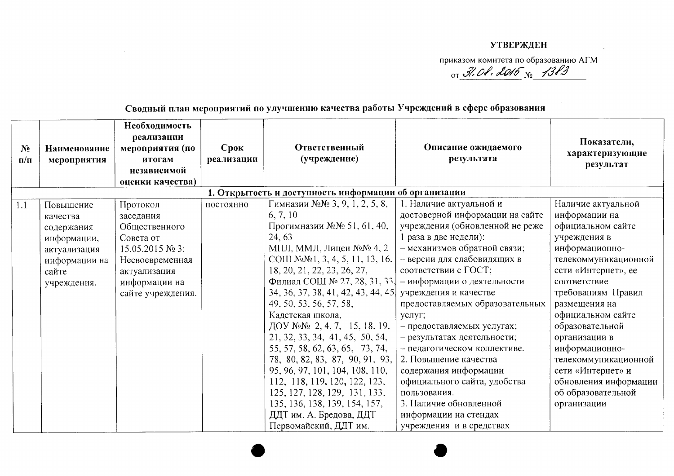## **УТВЕРЖДЕН**

приказом комитета по образованию АГМ or  $\mathcal{J}$ . Ob. 2015  $_{N_2}$  1383

## Необхолимость реализации Показатели, Срок Ответственный Описание ожилаемого  $N<sub>2</sub>$ Наименование мероприятия (по характеризующие (учреждение) реализации мероприятия итогам результата  $\mathbf{n}/\mathbf{n}$ результат независимой опенки качества) 1. Открытость и доступность информации об организации Гимназии №№ 3, 9, 1, 2, 5, 8, 1. Наличие актуальной и Наличие актуальной Повышение Протокол постоянно  $1.1$ 6.7.10 достоверной информации на сайте информации на заседания качества Прогимназии №№ 51, 61, 40, учреждения (обновленной не реже официальном сайте содержания Обшественного 24.63 1 раза в две недели): учреждения в информации, Совета от МПЛ, ММЛ, Лицеи №№ 4, 2 - механизмов обратной связи; информационноактуализация  $15.05.2015$  No 3: COLU No. No. 1, 3, 4, 5, 11, 13, 16, - версии для слабовидящих в телекоммуникационной информации на Несвоевременная 18, 20, 21, 22, 23, 26, 27, соответствии с ГОСТ; сети «Интернет», ее актуализация сайте Филиал СОШ № 27, 28, 31, 33. информации на - информации о деятельности соответствие учреждения. 34, 36, 37, 38, 41, 42, 43, 44, 45 учреждения и качестве требованиям Правил сайте учреждения. 49, 50, 53, 56, 57, 58, предоставляемых образовательных размещения на Кадетская школа, официальном сайте услуг; ДОУ №№ 2, 4, 7, 15, 18, 19, образовательной - предоставляемых услугах; 21, 32, 33, 34, 41, 45, 50, 54, - результатах деятельности; организации в 55, 57, 58, 62, 63, 65, 73, 74, - педагогическом коллективе. информационно-78, 80, 82, 83, 87, 90, 91, 93, 2. Повышение качества телекоммуникационной 95, 96, 97, 101, 104, 108, 110, содержания информации сети «Интернет» и 112, 118, 119, 120, 122, 123, официального сайта, удобства обновления информации об образовательной 125, 127, 128, 129, 131, 133, пользования. 3. Наличие обновленной 135, 136, 138, 139, 154, 157, организации ДДТ им. А. Бредова, ДДТ информации на стендах Первомайский, ДДТ им. учреждения и в средствах

Сволный план мероприятий по улучшению качества работы Учреждений в сфере образования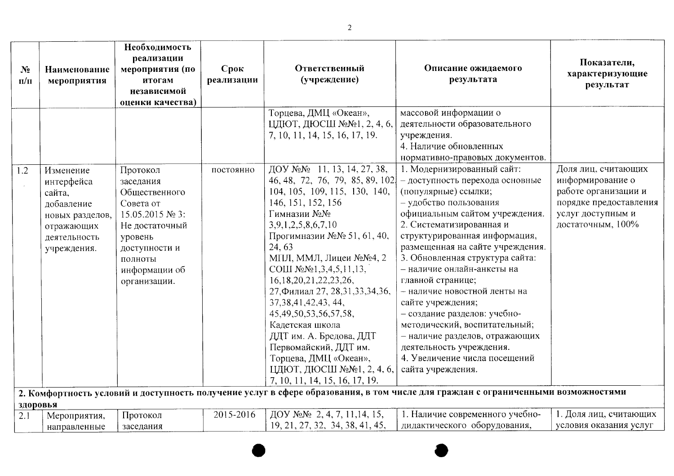| N <sub>2</sub><br>$\Pi/\Pi$ | Наименование<br>мероприятия                                                                                     | Необходимость<br>реализации<br>мероприятия (по<br>итогам<br>независимой<br>оценки качества)                                                                      | Срок<br>реализации | Ответственный<br>(учреждение)                                                                                                                                                                                                                                                                                                                                                                                                                                                                                                                                | Описание ожидаемого<br>результата                                                                                                                                                                                                                                                                                                                                                                                                                                                                                                                                                                                                                                                                                      | Показатели,<br>характеризующие<br>результат                                                                                         |
|-----------------------------|-----------------------------------------------------------------------------------------------------------------|------------------------------------------------------------------------------------------------------------------------------------------------------------------|--------------------|--------------------------------------------------------------------------------------------------------------------------------------------------------------------------------------------------------------------------------------------------------------------------------------------------------------------------------------------------------------------------------------------------------------------------------------------------------------------------------------------------------------------------------------------------------------|------------------------------------------------------------------------------------------------------------------------------------------------------------------------------------------------------------------------------------------------------------------------------------------------------------------------------------------------------------------------------------------------------------------------------------------------------------------------------------------------------------------------------------------------------------------------------------------------------------------------------------------------------------------------------------------------------------------------|-------------------------------------------------------------------------------------------------------------------------------------|
|                             |                                                                                                                 |                                                                                                                                                                  |                    | Торцева, ДМЦ «Океан»,<br>ЦДЮТ, ДЮСШ №№1, 2, 4, 6,<br>7, 10, 11, 14, 15, 16, 17, 19.                                                                                                                                                                                                                                                                                                                                                                                                                                                                          | массовой информации о<br>деятельности образовательного<br>учреждения.<br>4. Наличие обновленных<br>нормативно-правовых документов.                                                                                                                                                                                                                                                                                                                                                                                                                                                                                                                                                                                     |                                                                                                                                     |
| 1.2                         | Изменение<br>интерфейса<br>сайта,<br>добавление<br>новых разделов,<br>отражающих<br>деятельность<br>учреждения. | Протокол<br>заседания<br>Общественного<br>Совета от<br>15.05.2015 № 3:<br>Не достаточный<br>уровень<br>доступности и<br>полноты<br>информации об<br>организации. | постоянно          | ДОУ №№ 11, 13, 14, 27, 38,<br>46, 48, 72, 76, 79, 85, 89, 102<br>104, 105, 109, 115, 130, 140,<br>146, 151, 152, 156<br>Гимназии №№<br>3,9,1,2,5,8,6,7,10<br>Прогимназии №№ 51, 61, 40,<br>24, 63<br>МПЛ, ММЛ, Лицеи №№4, 2<br>COIII $N_2N_21, 3, 4, 5, 11, 13$<br>16, 18, 20, 21, 22, 23, 26,<br>27, Филиал 27, 28, 31, 33, 34, 36,<br>37, 38, 41, 42, 43, 44,<br>45, 49, 50, 53, 56, 57, 58,<br>Кадетская школа<br>ДДТ им. А. Бредова, ДДТ<br>Первомайский, ДДТ им.<br>Торцева, ДМЦ «Океан»,<br>ЦДЮТ, ДЮСШ №№1, 2, 4, 6,<br>7, 10, 11, 14, 15, 16, 17, 19. | 1. Модернизированный сайт:<br>- доступность перехода основные<br>(популярные) ссылки;<br>- удобство пользования<br>официальным сайтом учреждения.<br>2. Систематизированная и<br>структурированная информация,<br>размещенная на сайте учреждения.<br>3. Обновленная структура сайта:<br>- наличие онлайн-анкеты на<br>главной странице;<br>- наличие новостной ленты на<br>сайте учреждения;<br>- создание разделов: учебно-<br>методический, воспитательный;<br>- наличие разделов, отражающих<br>деятельность учреждения.<br>4. Увеличение числа посещений<br>сайта учреждения.<br>2. Комфортность условий и доступность получение услуг в сфере образования, в том числе для граждан с ограниченными возможностями | Доля лиц, считающих<br>информирование о<br>работе организации и<br>порядке предоставления<br>услуг доступным и<br>достаточным, 100% |
| здоровья                    |                                                                                                                 |                                                                                                                                                                  |                    |                                                                                                                                                                                                                                                                                                                                                                                                                                                                                                                                                              |                                                                                                                                                                                                                                                                                                                                                                                                                                                                                                                                                                                                                                                                                                                        |                                                                                                                                     |
| 2.1                         | Мероприятия,<br>направленные                                                                                    | Протокол<br>заседания                                                                                                                                            | 2015-2016          | ДОУ №№ 2, 4, 7, 11, 14, 15,<br>19, 21, 27, 32, 34, 38, 41, 45,                                                                                                                                                                                                                                                                                                                                                                                                                                                                                               | 1. Наличие современного учебно-<br>дидактического оборудования,                                                                                                                                                                                                                                                                                                                                                                                                                                                                                                                                                                                                                                                        | 1. Доля лиц, считающих<br>условия оказания услуг                                                                                    |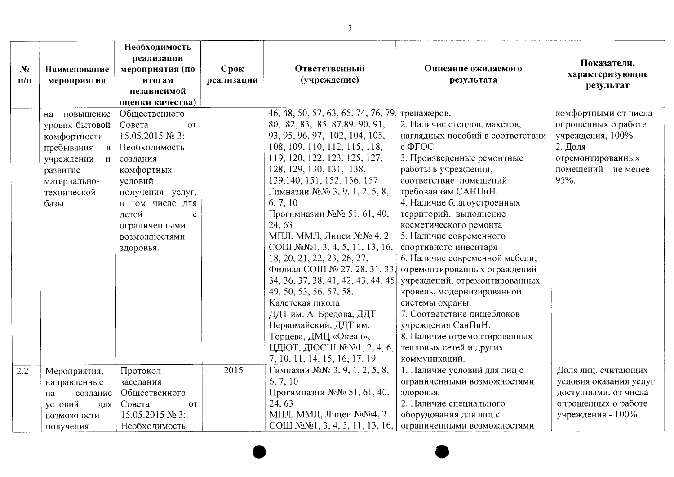| N <sub>2</sub> | Наименование               | Необходимость<br>реализации<br>мероприятия (по | Срок       | Ответственный                      | Описание ожидаемого              | Показатели,            |
|----------------|----------------------------|------------------------------------------------|------------|------------------------------------|----------------------------------|------------------------|
| $\Pi/\Pi$      | мероприятия                | итогам                                         | реализации | (учреждение)                       | результата                       | характеризующие        |
|                |                            | независимой                                    |            |                                    |                                  | результат              |
|                |                            | оценки качества)                               |            |                                    |                                  |                        |
|                | повышение<br>на            | Общественного                                  |            | 46, 48, 50, 57, 63, 65, 74, 76, 79 | тренажеров.                      | комфортными от числа   |
|                | уровня бытовой             | Совета<br><b>OT</b>                            |            | 80, 82, 83, 85, 87, 89, 90, 91,    | 2. Наличие стендов, макетов,     | опрошенных о работе    |
|                | комфортности               | 15.05.2015 № 3:                                |            | 93, 95, 96, 97, 102, 104, 105,     | наглядных пособий в соответствии | учреждения, 100%       |
|                | пребывания<br>$\mathbf{B}$ | Необходимость                                  |            | 108, 109, 110, 112, 115, 118,      | $c \Phi \Gamma$ OC               | 2. Доля                |
|                | учреждении и               | создания                                       |            | 119, 120, 122, 123, 125, 127,      | 3. Произведенные ремонтные       | отремонтированных      |
|                | развитие                   | комфортных                                     |            | 128, 129, 130, 131, 138,           | работы в учреждении,             | помещений - не менее   |
|                | материально-               | условий                                        |            | 139, 140, 151, 152, 156, 157       | соответствие помещений           | 95%.                   |
|                | технической                | получения услуг,                               |            | Гимназии №№ 3, 9, 1, 2, 5, 8,      | требованиям САНПиН.              |                        |
|                | базы.                      | в том числе для                                |            | 6, 7, 10                           | 4. Наличие благоустроенных       |                        |
|                |                            | детей<br>$\mathcal{C}$                         |            | Прогимназии №№ 51, 61, 40,         | территорий, выполнение           |                        |
|                |                            | ограниченными                                  |            | 24, 63                             | косметического ремонта           |                        |
|                |                            | возможностями                                  |            | МПЛ, ММЛ, Лицеи №№ 4, 2            | 5. Наличие современного          |                        |
|                |                            | здоровья.                                      |            | СОШ №№1, 3, 4, 5, 11, 13, 16,      | спортивного инвентаря            |                        |
|                |                            |                                                |            | 18, 20, 21, 22, 23, 26, 27,        | 6. Наличие современной мебели,   |                        |
|                |                            |                                                |            | Филиал СОШ № 27, 28, 31, 33.       | отремонтированных ограждений     |                        |
|                |                            |                                                |            | 34, 36, 37, 38, 41, 42, 43, 44, 45 | учреждений, отремонтированных    |                        |
|                |                            |                                                |            | 49, 50, 53, 56, 57, 58,            | кровель, модернизированной       |                        |
|                |                            |                                                |            | Кадетская школа                    | системы охраны.                  |                        |
|                |                            |                                                |            | ДДТ им. А. Бредова, ДДТ            | 7. Соответствие пищеблоков       |                        |
|                |                            |                                                |            | Первомайский, ДДТ им.              | учреждения СанПиН.               |                        |
|                |                            |                                                |            | Торцева, ДМЦ «Океан»,              | 8. Наличие отремонтированных     |                        |
|                |                            |                                                |            | ЦДЮТ, ДЮСШ №№1, 2, 4, 6,           | тепловых сетей и других          |                        |
|                |                            |                                                |            | 7, 10, 11, 14, 15, 16, 17, 19.     | коммуникаций.                    |                        |
| 2.2            | Мероприятия,               | Протокол                                       | 2015       | Гимназии №№ 3, 9, 1, 2, 5, 8,      | 1. Наличие условий для лиц с     | Доля лиц, считающих    |
|                | направленные               | заседания                                      |            | 6, 7, 10                           | ограниченными возможностями      | условия оказания услуг |
|                | создание<br>на             | Общественного                                  |            | Прогимназии №№ 51, 61, 40,         | здоровья.                        | доступными, от числа   |
|                | условий<br>для             | Совета<br><b>OT</b>                            |            | 24, 63                             | 2. Наличие специального          | опрошенных о работе    |
|                | возможности                | 15.05.2015 № 3:                                |            | МПЛ, ММЛ, Лицеи №№4, 2             | оборудования для лиц с           | учреждения - 100%      |
|                | получения                  | Необходимость                                  |            | СОШ №№1, 3, 4, 5, 11, 13, 16,      | ограниченными возможностями      |                        |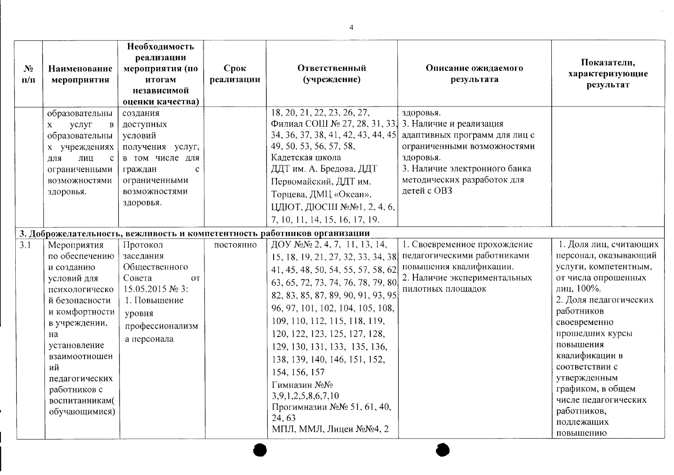| $N_2$<br>$\Pi/\Pi$ | Наименование<br>мероприятия                                                                                                                                                                                                                         | Необходимость<br>реализации<br>мероприятия (по<br>итогам<br>независимой<br>оценки качества)                                                       | Срок<br>реализации | Ответственный<br>(учреждение)                                                                                                                                                                                                                                                                                                                                                                                                                                                                                                                                    | Описание ожидаемого<br>результата                                                                                                                                     | Показатели,<br>характеризующие<br>результат                                                                                                                                                                                                                                                                                                      |
|--------------------|-----------------------------------------------------------------------------------------------------------------------------------------------------------------------------------------------------------------------------------------------------|---------------------------------------------------------------------------------------------------------------------------------------------------|--------------------|------------------------------------------------------------------------------------------------------------------------------------------------------------------------------------------------------------------------------------------------------------------------------------------------------------------------------------------------------------------------------------------------------------------------------------------------------------------------------------------------------------------------------------------------------------------|-----------------------------------------------------------------------------------------------------------------------------------------------------------------------|--------------------------------------------------------------------------------------------------------------------------------------------------------------------------------------------------------------------------------------------------------------------------------------------------------------------------------------------------|
|                    | образовательны<br>услуг<br>$\, {\bf B}$<br>$\mathbf{X}$<br>образовательны<br>х учреждениях<br>лиц<br>$\mathbf{c}$<br>ЛЛЯ<br>ограниченными<br>возможностями<br>здоровья.                                                                             | создания<br>доступных<br>условий<br>получения услуг,<br>в том числе для<br>граждан<br>$\mathbf{c}$<br>ограниченными<br>возможностями<br>здоровья. |                    | 18, 20, 21, 22, 23, 26, 27,<br>Филиал СОШ № 27, 28, 31, 33, 3. Наличие и реализация<br>34, 36, 37, 38, 41, 42, 43, 44, 45<br>49, 50, 53, 56, 57, 58,<br>Кадетская школа<br>ДДТ им. А. Бредова, ДДТ<br>Первомайский, ДДТ им.<br>Торцева, ДМЦ «Океан»,<br>ЦДЮТ, ДЮСШ №№1, 2, 4, 6,<br>7, 10, 11, 14, 15, 16, 17, 19.                                                                                                                                                                                                                                               | здоровья.<br>адаптивных программ для лиц с<br>ограниченными возможностями<br>здоровья.<br>3. Наличие электронного банка<br>методических разработок для<br>детей с ОВЗ |                                                                                                                                                                                                                                                                                                                                                  |
| 3.1                | Мероприятия<br>по обеспечению<br>и созданию<br>условий для<br>психологическо<br>й безопасности<br>и комфортности<br>в учреждении.<br>на<br>установление<br>взаимоотношен<br>ий<br>педагогических<br>работников с<br>воспитанникам(<br>обучающимися) | Протокол<br>заседания<br>Общественного<br>Совета<br><b>OT</b><br>15.05.2015 № 3:<br>1. Повышение<br>уровня<br>профессионализм<br>а персонала      | постоянно          | 3. Доброжелательность, вежливость и компетентность работников организации<br>ДОУ №№ 2, 4, 7, 11, 13, 14,<br>15, 18, 19, 21, 27, 32, 33, 34, 38<br>41, 45, 48, 50, 54, 55, 57, 58, 62<br>63, 65, 72, 73, 74, 76, 78, 79, 80<br>82, 83, 85, 87, 89, 90, 91, 93, 95<br>96, 97, 101, 102, 104, 105, 108,<br>109, 110, 112, 115, 118, 119,<br>120, 122, 123, 125, 127, 128,<br>129, 130, 131, 133, 135, 136,<br>138, 139, 140, 146, 151, 152,<br>154, 156, 157<br>Гимназии №№<br>3,9,1,2,5,8,6,7,10<br>Прогимназии №№ 51, 61, 40,<br>24, 63<br>МПЛ, ММЛ, Лицеи №№4, 2 | 1. Своевременное прохождение<br>педагогическими работниками<br>повышения квалификации.<br>2. Наличие экспериментальных<br>пилотных площадок                           | 1. Доля лиц, считающих<br>персонал, оказывающий<br>услуги, компетентным,<br>от числа опрошенных<br>лиц, 100%.<br>2. Доля педагогических<br>работников<br>своевременно<br>прошедших курсы<br>повышения<br>квалификации в<br>соответствии с<br>утвержденным<br>графиком, в общем<br>числе педагогических<br>работников,<br>подлежащих<br>повышению |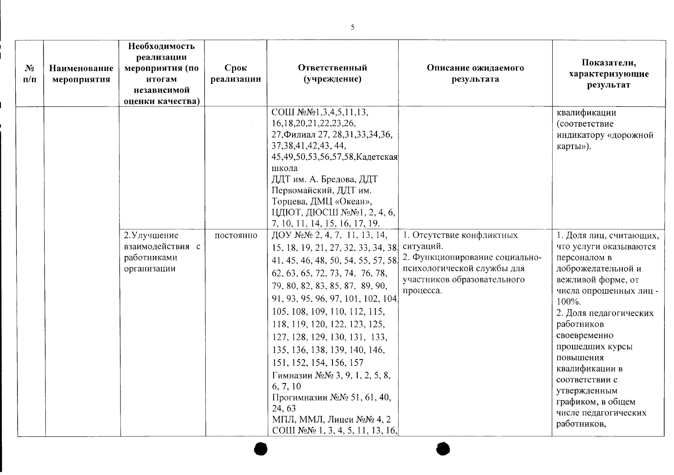| $N_2$<br>$\Pi/\Pi$ | Наименование<br>мероприятия | Необходимость<br>реализации<br>мероприятия (по<br>итогам<br>независимой<br>оценки качества) | Срок<br>реализации | Ответственный<br>(учреждение)                                                                                                                                                                                                                                                                                                                                                                                                                                                                                                        | Описание ожидаемого<br>результата                                                                                                                  | Показатели,<br>характеризующие<br>результат                                                                                                                                                                                                                                                                                                                  |
|--------------------|-----------------------------|---------------------------------------------------------------------------------------------|--------------------|--------------------------------------------------------------------------------------------------------------------------------------------------------------------------------------------------------------------------------------------------------------------------------------------------------------------------------------------------------------------------------------------------------------------------------------------------------------------------------------------------------------------------------------|----------------------------------------------------------------------------------------------------------------------------------------------------|--------------------------------------------------------------------------------------------------------------------------------------------------------------------------------------------------------------------------------------------------------------------------------------------------------------------------------------------------------------|
|                    |                             |                                                                                             |                    | СОШ №№1,3,4,5,11,13,<br>16, 18, 20, 21, 22, 23, 26,<br>27, Филиал 27, 28, 31, 33, 34, 36,<br>37, 38, 41, 42, 43, 44,<br>45,49,50,53,56,57,58,Кадетская<br>школа<br>ДДТ им. А. Бредова, ДДТ<br>Первомайский, ДДТ им.<br>Торцева, ДМЦ «Океан»,<br>ЦДЮТ, ДЮСШ №№1, 2, 4, 6,<br>7, 10, 11, 14, 15, 16, 17, 19.                                                                                                                                                                                                                           |                                                                                                                                                    | квалификации<br>(соответствие<br>индикатору «дорожной<br>карты»).                                                                                                                                                                                                                                                                                            |
|                    |                             | 2. Улучшение<br>взаимодействия с<br>работниками<br>организации                              | постоянно          | ДОУ №№2, 4, 7, 11, 13, 14,<br>15, 18, 19, 21, 27, 32, 33, 34, 38<br>41, 45, 46, 48, 50, 54, 55, 57, 58<br>62, 63, 65, 72, 73, 74, 76, 78,<br>79, 80, 82, 83, 85, 87, 89, 90,<br>91, 93, 95, 96, 97, 101, 102, 104<br>105, 108, 109, 110, 112, 115,<br>118, 119, 120, 122, 123, 125,<br>127, 128, 129, 130, 131, 133,<br>135, 136, 138, 139, 140, 146,<br>151, 152, 154, 156, 157<br>Гимназии №№ 3, 9, 1, 2, 5, 8,<br>6, 7, 10<br>Прогимназии №№ 51, 61, 40,<br>24, 63<br>МПЛ, ММЛ, Лицеи №№ 4, 2<br>COIII №№ 1, 3, 4, 5, 11, 13, 16, | 1. Отсутствие конфликтных<br>ситуаций.<br>2. Функционирование социально-<br>психологической службы для<br>участников образовательного<br>процесса. | 1. Доля лиц, считающих,<br>что услуги оказываются<br>персоналом в<br>доброжелательной и<br>вежливой форме, от<br>числа опрошенных лиц -<br>$100\%$ .<br>2. Доля педагогических<br>работников<br>своевременно<br>прошедших курсы<br>повышения<br>квалификации в<br>соответствии с<br>утвержденным<br>графиком, в общем<br>числе педагогических<br>работников, |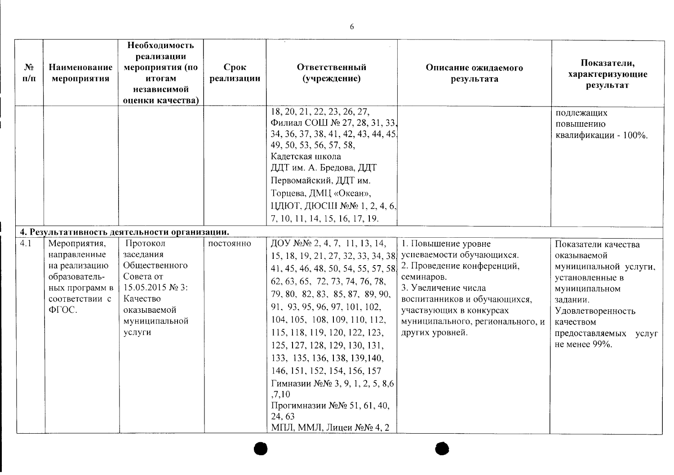|                |                                                                                                             | Необходимость<br>реализации                                                                                                  |            |                                                                                                                                                                                                                                                                                                                                                                                                                                                                                                 |                                                                                                                                                                                                                                       |                                                                                                                                                                                         |
|----------------|-------------------------------------------------------------------------------------------------------------|------------------------------------------------------------------------------------------------------------------------------|------------|-------------------------------------------------------------------------------------------------------------------------------------------------------------------------------------------------------------------------------------------------------------------------------------------------------------------------------------------------------------------------------------------------------------------------------------------------------------------------------------------------|---------------------------------------------------------------------------------------------------------------------------------------------------------------------------------------------------------------------------------------|-----------------------------------------------------------------------------------------------------------------------------------------------------------------------------------------|
| N <sub>2</sub> | Наименование                                                                                                | мероприятия (по                                                                                                              | Срок       | Ответственный                                                                                                                                                                                                                                                                                                                                                                                                                                                                                   | Описание ожидаемого                                                                                                                                                                                                                   | Показатели,<br>характеризующие                                                                                                                                                          |
| $\Pi/\Pi$      | мероприятия                                                                                                 | итогам<br>независимой                                                                                                        | реализации | (учреждение)                                                                                                                                                                                                                                                                                                                                                                                                                                                                                    | результата                                                                                                                                                                                                                            | результат                                                                                                                                                                               |
|                |                                                                                                             | оценки качества)                                                                                                             |            |                                                                                                                                                                                                                                                                                                                                                                                                                                                                                                 |                                                                                                                                                                                                                                       |                                                                                                                                                                                         |
|                |                                                                                                             |                                                                                                                              |            | 18, 20, 21, 22, 23, 26, 27,<br>Филиал СОШ № 27, 28, 31, 33,<br>34, 36, 37, 38, 41, 42, 43, 44, 45.<br>49, 50, 53, 56, 57, 58,<br>Кадетская школа<br>ДДТ им. А. Бредова, ДДТ<br>Первомайский, ДДТ им.<br>Торцева, ДМЦ «Океан»,<br>ЦДЮТ, ДЮСШ №№1, 2, 4, 6,<br>7, 10, 11, 14, 15, 16, 17, 19.                                                                                                                                                                                                     |                                                                                                                                                                                                                                       | подлежащих<br>повышению<br>квалификации - 100%.                                                                                                                                         |
|                |                                                                                                             | 4. Результативность деятельности организации.                                                                                |            |                                                                                                                                                                                                                                                                                                                                                                                                                                                                                                 |                                                                                                                                                                                                                                       |                                                                                                                                                                                         |
| 4.1            | Мероприятия,<br>направленные<br>на реализацию<br>образователь-<br>ных программ в<br>соответствии с<br>ФГОС. | Протокол<br>заседания<br>Общественного<br>Совета от<br>15.05.2015 № 3:<br>Качество<br>оказываемой<br>муниципальной<br>услуги | постоянно  | ДОУ №№ 2, 4, 7, 11, 13, 14,<br>15, 18, 19, 21, 27, 32, 33, 34, 38<br>41, 45, 46, 48, 50, 54, 55, 57, 58<br>62, 63, 65, 72, 73, 74, 76, 78,<br>79, 80, 82, 83, 85, 87, 89, 90,<br>91, 93, 95, 96, 97, 101, 102,<br>104, 105, 108, 109, 110, 112,<br>115, 118, 119, 120, 122, 123,<br>125, 127, 128, 129, 130, 131,<br>133, 135, 136, 138, 139, 140,<br>146, 151, 152, 154, 156, 157<br>Гимназии №№ 3, 9, 1, 2, 5, 8,6<br>,7,10<br>Прогимназии №№ 51, 61, 40,<br>24, 63<br>МПЛ, ММЛ, Лицеи №№4, 2 | 1. Повышение уровне<br>успеваемости обучающихся.<br>2. Проведение конференций,<br>семинаров.<br>3. Увеличение числа<br>воспитанников и обучающихся,<br>участвующих в конкурсах<br>муниципального, регионального, и<br>других уровней. | Показатели качества<br>оказываемой<br>муниципальной услуги,<br>установленные в<br>муниципальном<br>задании.<br>Удовлетворенность<br>качеством<br>предоставляемых услуг<br>не менее 99%. |